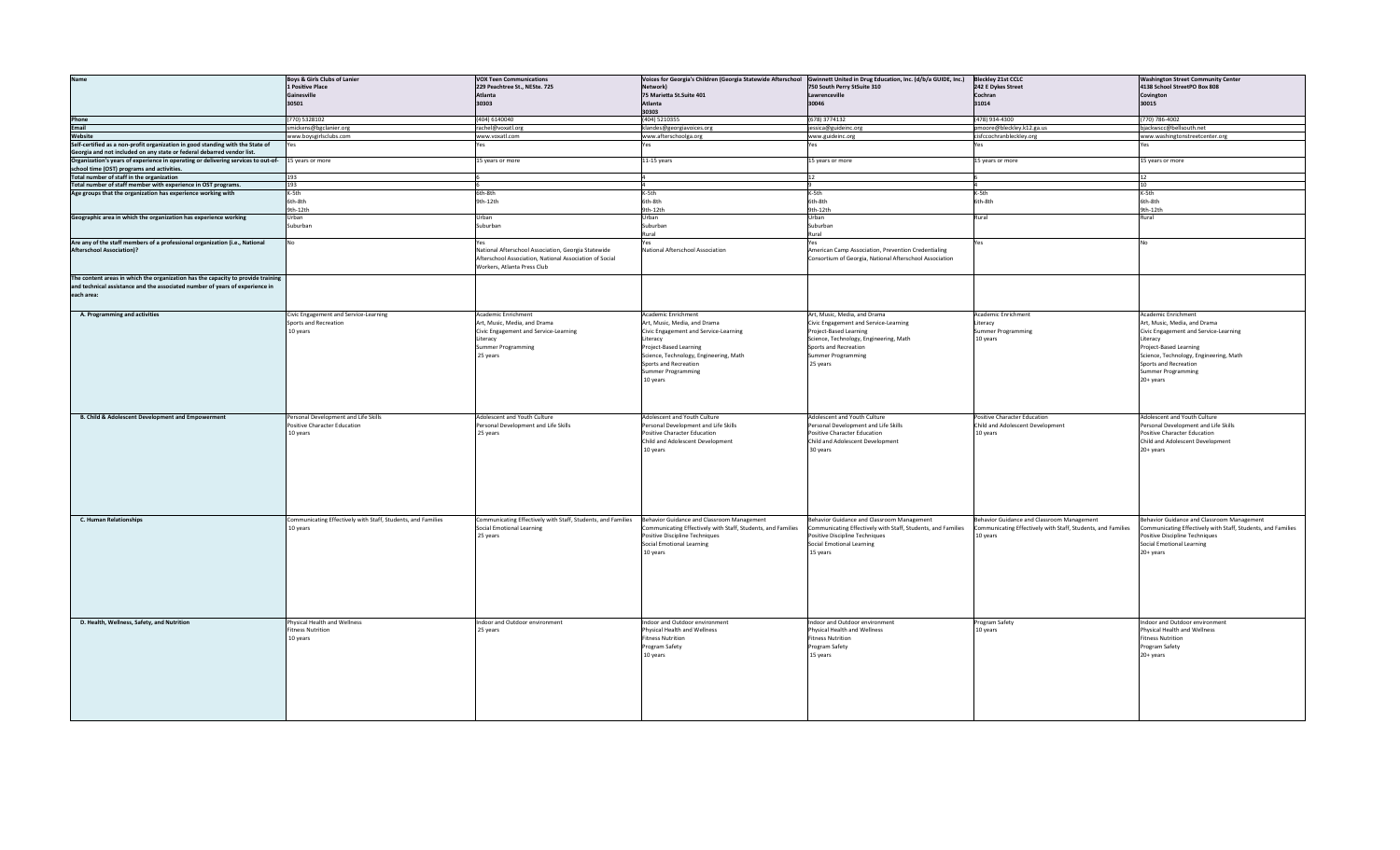| <b>Name</b>                                                                                        | <b>Boys &amp; Girls Clubs of Lanier</b>                      | <b>VOX Teen Communications</b>                               |                                                              | Voices for Georgia's Children (Georgia Statewide Afterschool Gwinnett United in Drug Education, Inc. (d/b/a GUIDE, Inc.) | <b>Bleckley 21st CCLC</b>                                    | <b>Washington Street Community Center</b>                    |
|----------------------------------------------------------------------------------------------------|--------------------------------------------------------------|--------------------------------------------------------------|--------------------------------------------------------------|--------------------------------------------------------------------------------------------------------------------------|--------------------------------------------------------------|--------------------------------------------------------------|
|                                                                                                    | 1 Positive Place                                             | 229 Peachtree St., NESte. 725                                | Network)                                                     | 750 South Perry StSuite 310                                                                                              | 242 E Dykes Street                                           | 4138 School StreetPO Box 808                                 |
|                                                                                                    | Gainesville                                                  | Atlanta                                                      |                                                              |                                                                                                                          | Cochran                                                      |                                                              |
|                                                                                                    |                                                              |                                                              | 75 Marietta St.Suite 401                                     | Lawrenceville                                                                                                            |                                                              | Covington                                                    |
|                                                                                                    | 30501                                                        | 30303                                                        | Atlanta                                                      | 30046                                                                                                                    | 31014                                                        | 30015                                                        |
|                                                                                                    |                                                              |                                                              | 30303                                                        |                                                                                                                          |                                                              |                                                              |
|                                                                                                    | (770) 5328102                                                | (404) 6140040                                                | (404) 5210355                                                | (678) 3774132                                                                                                            | (478) 934-4300                                               | (770) 786-4002                                               |
| Phone<br>Email                                                                                     | smickens@bgclanier.org                                       | rachel@voxatl.org                                            | klandes@georgiavoices.org                                    | jessica@guideinc.org                                                                                                     | pmoore@bleckley.k12.ga.us                                    | bjackwscc@bellsouth.net                                      |
| Website                                                                                            | www.boysgirlsclubs.com                                       | www.voxatl.com                                               | www.afterschoolga.org                                        | www.guideinc.org                                                                                                         | cisfccochranbleckley.org                                     | www.washingtonstreetcenter.org                               |
| Self-certified as a non-profit organization in good standing with the State of                     |                                                              |                                                              |                                                              |                                                                                                                          |                                                              |                                                              |
|                                                                                                    |                                                              |                                                              |                                                              |                                                                                                                          |                                                              |                                                              |
| Georgia and not included on any state or federal debarred vendor list.                             |                                                              |                                                              |                                                              |                                                                                                                          |                                                              |                                                              |
| Organization's years of experience in operating or delivering services to out-of- 15 years or more |                                                              | 15 years or more                                             | 11-15 years                                                  | 15 years or more                                                                                                         | 15 years or more                                             | 15 years or more                                             |
| school time (OST) programs and activities.                                                         |                                                              |                                                              |                                                              |                                                                                                                          |                                                              |                                                              |
| Total number of staff in the organization                                                          | 193                                                          |                                                              |                                                              | 12                                                                                                                       |                                                              | 12                                                           |
| Total number of staff member with experience in OST programs.                                      | 193                                                          |                                                              |                                                              |                                                                                                                          |                                                              | 10                                                           |
|                                                                                                    |                                                              |                                                              |                                                              |                                                                                                                          |                                                              |                                                              |
| Age groups that the organization has experience working with                                       | K-5th                                                        | 6th-8th                                                      | K-5th                                                        | K-5th                                                                                                                    | K-5th                                                        | K-5th                                                        |
|                                                                                                    | 6th-8th                                                      | 9th-12th                                                     | 6th-8th                                                      | 6th-8th                                                                                                                  | 6th-8th                                                      | 6th-8th                                                      |
|                                                                                                    | 9th-12th                                                     |                                                              | 9th-12th                                                     | 9th-12th                                                                                                                 |                                                              | 9th-12th                                                     |
| Geographic area in which the organization has experience working                                   | Urban                                                        | Urban                                                        | Urban                                                        | Urban                                                                                                                    | Rural                                                        | Rural                                                        |
|                                                                                                    | Suburban                                                     | Suburban                                                     | Suburban                                                     | Suburban                                                                                                                 |                                                              |                                                              |
|                                                                                                    |                                                              |                                                              |                                                              |                                                                                                                          |                                                              |                                                              |
|                                                                                                    |                                                              |                                                              | Rural                                                        | Rural                                                                                                                    |                                                              |                                                              |
| Are any of the staff members of a professional organization (i.e., National                        | No                                                           | Yes                                                          | Yes                                                          | Yes                                                                                                                      | /es                                                          |                                                              |
| <b>Afterschool Association)?</b>                                                                   |                                                              | National Afterschool Association, Georgia Statewide          | <b>National Afterschool Association</b>                      | American Camp Association, Prevention Credentialing                                                                      |                                                              |                                                              |
|                                                                                                    |                                                              | Afterschool Association, National Association of Social      |                                                              | Consortium of Georgia, National Afterschool Association                                                                  |                                                              |                                                              |
|                                                                                                    |                                                              |                                                              |                                                              |                                                                                                                          |                                                              |                                                              |
|                                                                                                    |                                                              | Workers, Atlanta Press Club                                  |                                                              |                                                                                                                          |                                                              |                                                              |
| The content areas in which the organization has the capacity to provide training                   |                                                              |                                                              |                                                              |                                                                                                                          |                                                              |                                                              |
| and technical assistance and the associated number of years of experience in                       |                                                              |                                                              |                                                              |                                                                                                                          |                                                              |                                                              |
|                                                                                                    |                                                              |                                                              |                                                              |                                                                                                                          |                                                              |                                                              |
| each area:                                                                                         |                                                              |                                                              |                                                              |                                                                                                                          |                                                              |                                                              |
|                                                                                                    |                                                              |                                                              |                                                              |                                                                                                                          |                                                              |                                                              |
|                                                                                                    |                                                              |                                                              |                                                              |                                                                                                                          |                                                              |                                                              |
| A. Programming and activities                                                                      | Civic Engagement and Service-Learning                        | Academic Enrichment                                          | Academic Enrichment                                          | Art, Music, Media, and Drama                                                                                             | Academic Enrichment                                          | Academic Enrichment                                          |
|                                                                                                    | Sports and Recreation                                        | Art, Music, Media, and Drama                                 | Art, Music, Media, and Drama                                 | Civic Engagement and Service-Learning                                                                                    | Literacy                                                     | Art, Music, Media, and Drama                                 |
|                                                                                                    | 10 years                                                     | Civic Engagement and Service-Learning                        | Civic Engagement and Service-Learning                        | Project-Based Learning                                                                                                   | Summer Programming                                           | Civic Engagement and Service-Learning                        |
|                                                                                                    |                                                              | Literacy                                                     | Literacy                                                     | Science, Technology, Engineering, Math                                                                                   | 10 years                                                     | Literacy                                                     |
|                                                                                                    |                                                              |                                                              |                                                              |                                                                                                                          |                                                              |                                                              |
|                                                                                                    |                                                              | Summer Programming                                           | Project-Based Learning                                       | Sports and Recreation                                                                                                    |                                                              | Project-Based Learning                                       |
|                                                                                                    |                                                              | 25 years                                                     | Science, Technology, Engineering, Math                       | Summer Programming                                                                                                       |                                                              | Science, Technology, Engineering, Math                       |
|                                                                                                    |                                                              |                                                              | Sports and Recreation                                        | 25 years                                                                                                                 |                                                              | Sports and Recreation                                        |
|                                                                                                    |                                                              |                                                              | <b>Summer Programming</b>                                    |                                                                                                                          |                                                              | Summer Programming                                           |
|                                                                                                    |                                                              |                                                              |                                                              |                                                                                                                          |                                                              |                                                              |
|                                                                                                    |                                                              |                                                              | 10 years                                                     |                                                                                                                          |                                                              | 20+ years                                                    |
|                                                                                                    |                                                              |                                                              |                                                              |                                                                                                                          |                                                              |                                                              |
|                                                                                                    |                                                              |                                                              |                                                              |                                                                                                                          |                                                              |                                                              |
|                                                                                                    |                                                              |                                                              |                                                              |                                                                                                                          |                                                              |                                                              |
|                                                                                                    |                                                              |                                                              |                                                              |                                                                                                                          |                                                              |                                                              |
|                                                                                                    |                                                              | Adolescent and Youth Culture                                 | Adolescent and Youth Culture                                 | Adolescent and Youth Culture                                                                                             | Positive Character Education                                 | Adolescent and Youth Culture                                 |
| <b>B. Child &amp; Adolescent Development and Empowerment</b>                                       | Personal Development and Life Skills                         |                                                              |                                                              |                                                                                                                          |                                                              |                                                              |
|                                                                                                    | Positive Character Education                                 | Personal Development and Life Skills                         | Personal Development and Life Skills                         | Personal Development and Life Skills                                                                                     | Child and Adolescent Development                             | Personal Development and Life Skills                         |
|                                                                                                    | 10 years                                                     | 25 years                                                     | Positive Character Education                                 | Positive Character Education                                                                                             | 10 years                                                     | Positive Character Education                                 |
|                                                                                                    |                                                              |                                                              | Child and Adolescent Development                             | Child and Adolescent Development                                                                                         |                                                              | Child and Adolescent Development                             |
|                                                                                                    |                                                              |                                                              |                                                              |                                                                                                                          |                                                              |                                                              |
|                                                                                                    |                                                              |                                                              | 10 years                                                     | 30 years                                                                                                                 |                                                              | 20+ years                                                    |
|                                                                                                    |                                                              |                                                              |                                                              |                                                                                                                          |                                                              |                                                              |
|                                                                                                    |                                                              |                                                              |                                                              |                                                                                                                          |                                                              |                                                              |
|                                                                                                    |                                                              |                                                              |                                                              |                                                                                                                          |                                                              |                                                              |
|                                                                                                    |                                                              |                                                              |                                                              |                                                                                                                          |                                                              |                                                              |
|                                                                                                    |                                                              |                                                              |                                                              |                                                                                                                          |                                                              |                                                              |
|                                                                                                    |                                                              |                                                              |                                                              |                                                                                                                          |                                                              |                                                              |
|                                                                                                    |                                                              |                                                              |                                                              |                                                                                                                          |                                                              |                                                              |
|                                                                                                    |                                                              |                                                              |                                                              |                                                                                                                          |                                                              |                                                              |
|                                                                                                    |                                                              |                                                              |                                                              |                                                                                                                          |                                                              |                                                              |
|                                                                                                    |                                                              |                                                              |                                                              |                                                                                                                          |                                                              |                                                              |
| C. Human Relationships                                                                             | Communicating Effectively with Staff, Students, and Families | Communicating Effectively with Staff, Students, and Families | Behavior Guidance and Classroom Management                   | Behavior Guidance and Classroom Management                                                                               | Behavior Guidance and Classroom Management                   | Behavior Guidance and Classroom Management                   |
|                                                                                                    | 10 years                                                     | Social Emotional Learning                                    | Communicating Effectively with Staff, Students, and Families | Communicating Effectively with Staff, Students, and Families                                                             | Communicating Effectively with Staff, Students, and Families | Communicating Effectively with Staff, Students, and Families |
|                                                                                                    |                                                              | 25 years                                                     | Positive Discipline Techniques                               | Positive Discipline Techniques                                                                                           | 10 years                                                     | Positive Discipline Techniques                               |
|                                                                                                    |                                                              |                                                              | Social Emotional Learning                                    | Social Emotional Learning                                                                                                |                                                              | Social Emotional Learning                                    |
|                                                                                                    |                                                              |                                                              |                                                              |                                                                                                                          |                                                              |                                                              |
|                                                                                                    |                                                              |                                                              | 10 years                                                     | 15 years                                                                                                                 |                                                              | 20+ years                                                    |
|                                                                                                    |                                                              |                                                              |                                                              |                                                                                                                          |                                                              |                                                              |
|                                                                                                    |                                                              |                                                              |                                                              |                                                                                                                          |                                                              |                                                              |
|                                                                                                    |                                                              |                                                              |                                                              |                                                                                                                          |                                                              |                                                              |
|                                                                                                    |                                                              |                                                              |                                                              |                                                                                                                          |                                                              |                                                              |
|                                                                                                    |                                                              |                                                              |                                                              |                                                                                                                          |                                                              |                                                              |
|                                                                                                    |                                                              |                                                              |                                                              |                                                                                                                          |                                                              |                                                              |
|                                                                                                    |                                                              |                                                              |                                                              |                                                                                                                          |                                                              |                                                              |
|                                                                                                    |                                                              |                                                              |                                                              |                                                                                                                          |                                                              |                                                              |
|                                                                                                    |                                                              |                                                              |                                                              |                                                                                                                          |                                                              |                                                              |
| D. Health, Wellness, Safety, and Nutrition                                                         | Physical Health and Wellness                                 | ndoor and Outdoor environment                                | ndoor and Outdoor environment                                | Indoor and Outdoor environment                                                                                           | Program Safety                                               | Indoor and Outdoor environment                               |
|                                                                                                    |                                                              |                                                              | Physical Health and Wellness                                 | Physical Health and Wellness                                                                                             |                                                              | Physical Health and Wellness                                 |
|                                                                                                    | <b>Fitness Nutrition</b>                                     | 25 years                                                     |                                                              |                                                                                                                          | 10 years                                                     |                                                              |
|                                                                                                    | 10 years                                                     |                                                              | Fitness Nutrition                                            | Fitness Nutrition                                                                                                        |                                                              | Fitness Nutrition                                            |
|                                                                                                    |                                                              |                                                              | Program Safety                                               | Program Safety                                                                                                           |                                                              | Program Safety                                               |
|                                                                                                    |                                                              |                                                              | 10 years                                                     | 15 years                                                                                                                 |                                                              | 20+ years                                                    |
|                                                                                                    |                                                              |                                                              |                                                              |                                                                                                                          |                                                              |                                                              |
|                                                                                                    |                                                              |                                                              |                                                              |                                                                                                                          |                                                              |                                                              |
|                                                                                                    |                                                              |                                                              |                                                              |                                                                                                                          |                                                              |                                                              |
|                                                                                                    |                                                              |                                                              |                                                              |                                                                                                                          |                                                              |                                                              |
|                                                                                                    |                                                              |                                                              |                                                              |                                                                                                                          |                                                              |                                                              |
|                                                                                                    |                                                              |                                                              |                                                              |                                                                                                                          |                                                              |                                                              |
|                                                                                                    |                                                              |                                                              |                                                              |                                                                                                                          |                                                              |                                                              |
|                                                                                                    |                                                              |                                                              |                                                              |                                                                                                                          |                                                              |                                                              |
|                                                                                                    |                                                              |                                                              |                                                              |                                                                                                                          |                                                              |                                                              |
|                                                                                                    |                                                              |                                                              |                                                              |                                                                                                                          |                                                              |                                                              |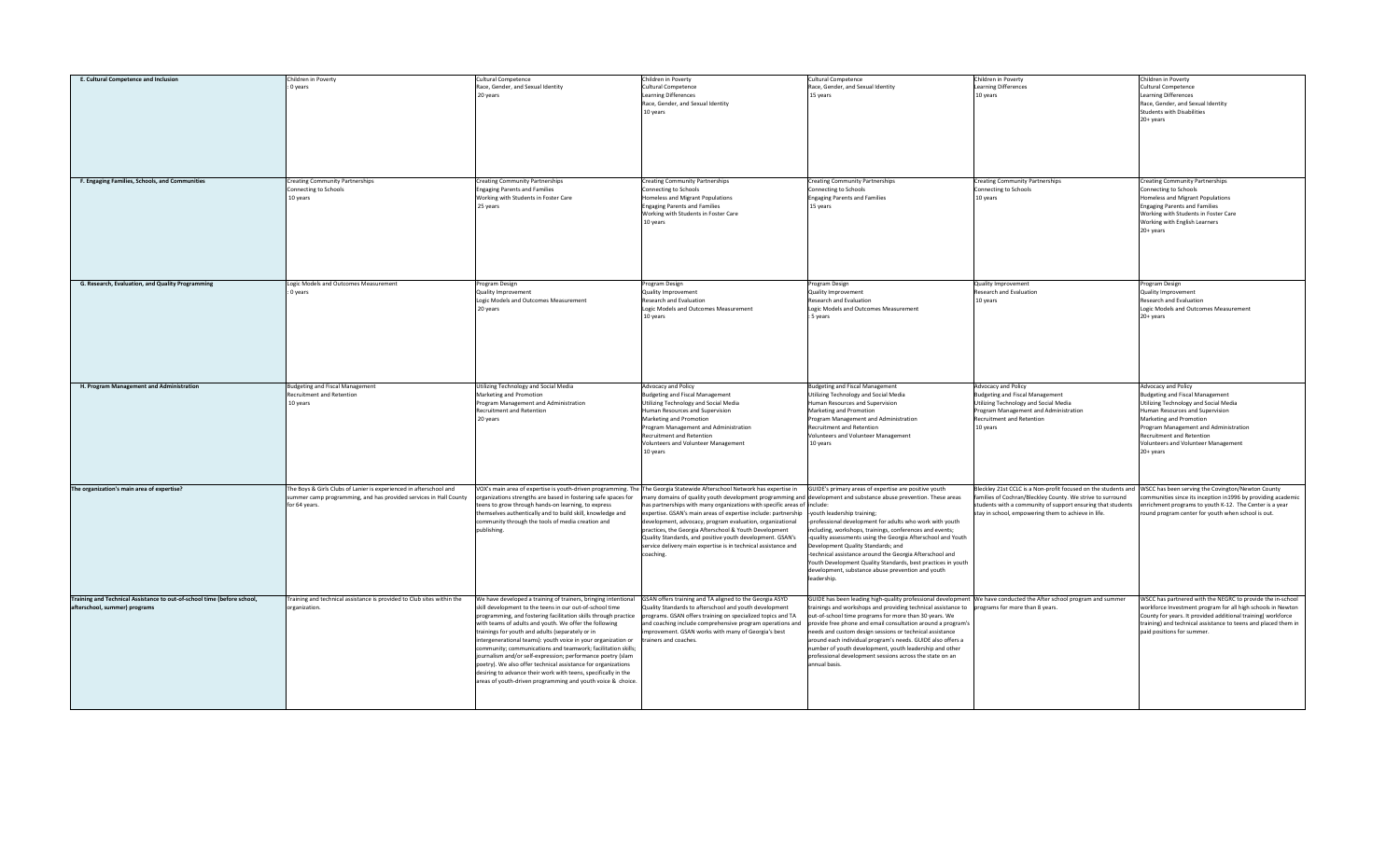| E. Cultural Competence and Inclusion                                                                     | Children in Poverty                                                                                                                                     | <b>Cultural Competence</b>                                                                                                                                                                                                                                                                                                                                                                                                                                                                                                                                                                                                                                                                                 | Children in Poverty                                                                                                                                                                                                                                                                                                                                                                                                                                                                                                                                                                                                                                                                                                                               | Cultural Competence                                                                                                                                                                                                                                                                                                                                                                                                                                                                                                                                                                                              | Children in Poverty                                                                                                                                                                                                                                                                                  | Children in Poverty                                                                                                                                                                                                                                                                            |
|----------------------------------------------------------------------------------------------------------|---------------------------------------------------------------------------------------------------------------------------------------------------------|------------------------------------------------------------------------------------------------------------------------------------------------------------------------------------------------------------------------------------------------------------------------------------------------------------------------------------------------------------------------------------------------------------------------------------------------------------------------------------------------------------------------------------------------------------------------------------------------------------------------------------------------------------------------------------------------------------|---------------------------------------------------------------------------------------------------------------------------------------------------------------------------------------------------------------------------------------------------------------------------------------------------------------------------------------------------------------------------------------------------------------------------------------------------------------------------------------------------------------------------------------------------------------------------------------------------------------------------------------------------------------------------------------------------------------------------------------------------|------------------------------------------------------------------------------------------------------------------------------------------------------------------------------------------------------------------------------------------------------------------------------------------------------------------------------------------------------------------------------------------------------------------------------------------------------------------------------------------------------------------------------------------------------------------------------------------------------------------|------------------------------------------------------------------------------------------------------------------------------------------------------------------------------------------------------------------------------------------------------------------------------------------------------|------------------------------------------------------------------------------------------------------------------------------------------------------------------------------------------------------------------------------------------------------------------------------------------------|
|                                                                                                          | : 0 years                                                                                                                                               | Race, Gender, and Sexual Identity<br>20 years                                                                                                                                                                                                                                                                                                                                                                                                                                                                                                                                                                                                                                                              | Cultural Competence<br><b>Learning Differences</b><br>Race, Gender, and Sexual Identity<br>10 years                                                                                                                                                                                                                                                                                                                                                                                                                                                                                                                                                                                                                                               | Race, Gender, and Sexual Identity<br>15 years                                                                                                                                                                                                                                                                                                                                                                                                                                                                                                                                                                    | <b>Learning Differences</b><br>10 years                                                                                                                                                                                                                                                              | Cultural Competence<br>Learning Differences<br>Race, Gender, and Sexual Identity<br><b>Students with Disabilities</b><br>20+ years                                                                                                                                                             |
| F. Engaging Families, Schools, and Communities                                                           | <b>Creating Community Partnerships</b><br>onnecting to Schools<br>10 years                                                                              | <b>Creating Community Partnerships</b><br><b>Engaging Parents and Families</b><br>Working with Students in Foster Care<br>25 years                                                                                                                                                                                                                                                                                                                                                                                                                                                                                                                                                                         | <b>Creating Community Partnerships</b><br>Connecting to Schools<br>Homeless and Migrant Populations<br><b>Engaging Parents and Families</b><br>Working with Students in Foster Care<br>10 years                                                                                                                                                                                                                                                                                                                                                                                                                                                                                                                                                   | <b>Creating Community Partnerships</b><br>Connecting to Schools<br><b>Engaging Parents and Families</b><br>15 years                                                                                                                                                                                                                                                                                                                                                                                                                                                                                              | <b>Creating Community Partnerships</b><br>Connecting to Schools<br>10 years                                                                                                                                                                                                                          | <b>Creating Community Partnerships</b><br>Connecting to Schools<br>Homeless and Migrant Populations<br><b>Engaging Parents and Families</b><br>Working with Students in Foster Care<br>Working with English Learners<br>20+ years                                                              |
| G. Research, Evaluation, and Quality Programming                                                         | Logic Models and Outcomes Measurement<br>0 years                                                                                                        | Program Design<br>Quality Improvement<br>Logic Models and Outcomes Measurement<br>20 years                                                                                                                                                                                                                                                                                                                                                                                                                                                                                                                                                                                                                 | rogram Design<br>Quality Improvement<br>Research and Evaluation<br>Logic Models and Outcomes Measurement<br>10 years                                                                                                                                                                                                                                                                                                                                                                                                                                                                                                                                                                                                                              | Program Design<br>Quality Improvement<br>Research and Evaluation<br>Logic Models and Outcomes Measurement<br>5 years                                                                                                                                                                                                                                                                                                                                                                                                                                                                                             | <b>Quality Improvement</b><br>Research and Evaluation<br>10 years                                                                                                                                                                                                                                    | Program Design<br>Quality Improvement<br>Research and Evaluation<br>Logic Models and Outcomes Measurement<br>20+ years                                                                                                                                                                         |
| H. Program Management and Administration                                                                 | <b>Budgeting and Fiscal Management</b><br>Recruitment and Retention<br>10 years                                                                         | Utilizing Technology and Social Media<br>Marketing and Promotion<br>rogram Management and Administration<br>Recruitment and Retention<br>20 years                                                                                                                                                                                                                                                                                                                                                                                                                                                                                                                                                          | Advocacy and Policy<br><b>Budgeting and Fiscal Management</b><br><b>Jtilizing Technology and Social Media</b><br>luman Resources and Supervision<br>Marketing and Promotion<br>Program Management and Administration<br><b>Recruitment and Retention</b><br>Volunteers and Volunteer Management<br>10 years                                                                                                                                                                                                                                                                                                                                                                                                                                       | <b>Budgeting and Fiscal Management</b><br>Utilizing Technology and Social Media<br>luman Resources and Supervision<br>Marketing and Promotion<br>Program Management and Administration<br>Recruitment and Retention<br>Volunteers and Volunteer Management<br>10 years                                                                                                                                                                                                                                                                                                                                           | Advocacy and Policy<br>Budgeting and Fiscal Management<br>Utilizing Technology and Social Media<br>Program Management and Administration<br>Recruitment and Retention<br>10 years                                                                                                                    | Advocacy and Policy<br><b>Budgeting and Fiscal Management</b><br>Utilizing Technology and Social Media<br>luman Resources and Supervision<br>Marketing and Promotion<br>Program Management and Administration<br>Recruitment and Retention<br>Volunteers and Volunteer Management<br>20+ years |
| The organization's main area of expertise?                                                               | The Boys & Girls Clubs of Lanier is experienced in afterschool and<br>ummer camp programming, and has provided services in Hall County<br>for 64 years. | organizations strengths are based in fostering safe spaces for<br>teens to grow through hands-on learning, to express<br>hemselves authentically and to build skill, knowledge and<br>community through the tools of media creation and<br>ublishing.                                                                                                                                                                                                                                                                                                                                                                                                                                                      | VOX's main area of expertise is youth-driven programming. The The Georgia Statewide Afterschool Network has expertise in GUIDE's primary areas of expertise are positive youth<br>many domains of quality youth development programming and development and substance abuse prevention. These areas<br>has partnerships with many organizations with specific areas of include:<br>expertise. GSAN's main areas of expertise include: partnership  -youth leadership training;<br>levelopment, advocacy, program evaluation, organizational<br>practices, the Georgia Afterschool & Youth Development<br>Quality Standards, and positive youth development. GSAN's<br>service delivery main expertise is in technical assistance and<br>coaching. | professional development for adults who work with youth<br>ncluding, workshops, trainings, conferences and events;<br>quality assessments using the Georgia Afterschool and Youth<br>Development Quality Standards; and<br>technical assistance around the Georgia Afterschool and<br>Youth Development Quality Standards, best practices in youth<br>development, substance abuse prevention and youth<br>leadership.                                                                                                                                                                                           | Bleckley 21st CCLC is a Non-profit focused on the students and WSCC has been serving the Covington/Newton County<br>families of Cochran/Bleckley County. We strive to surround<br>students with a community of support ensuring that students<br>stay in school, empowering them to achieve in life. | communities since its inception in1996 by providing academic<br>enrichment programs to youth K-12. The Center is a year<br>ound program center for youth when school is out.                                                                                                                   |
| Training and Technical Assistance to out-of-school time (before school,<br>afterschool, summer) programs | Training and technical assistance is provided to Club sites within the<br>organization.                                                                 | We have developed a training of trainers, bringing intentional<br>skill development to the teens in our out-of-school time<br>programming, and fostering facilitation skills through practice<br>with teams of adults and youth. We offer the following<br>rainings for youth and adults (separately or in<br>ntergenerational teams): youth voice in your organization or<br>community; communications and teamwork; facilitation skills;<br>ournalism and/or self-expression; performance poetry (slam<br>poetry). We also offer technical assistance for organizations<br>desiring to advance their work with teens, specifically in the<br>areas of youth-driven programming and youth voice & choice. | GSAN offers training and TA aligned to the Georgia ASYD<br>Quality Standards to afterschool and youth development<br>programs. GSAN offers training on specialized topics and TA<br>and coaching include comprehensive program operations and<br>mprovement. GSAN works with many of Georgia's best<br>trainers and coaches.                                                                                                                                                                                                                                                                                                                                                                                                                      | GUIDE has been leading high-quality professional development We have conducted the After school program and summer<br>trainings and workshops and providing technical assistance to programs for more than 8 years.<br>out-of-school time programs for more than 30 years. We<br>provide free phone and email consultation around a program's<br>needs and custom design sessions or technical assistance<br>around each individual program's needs. GUIDE also offers a<br>number of youth development, youth leadership and other<br>professional development sessions across the state on an<br>annual basis. |                                                                                                                                                                                                                                                                                                      | WSCC has partnered with the NEGRC to provide the in-school<br>workforce Investment program for all high schools in Newton<br>County for years. It provided additional training(workforce<br>training) and technical assistance to teens and placed them in<br>paid positions for summer.       |